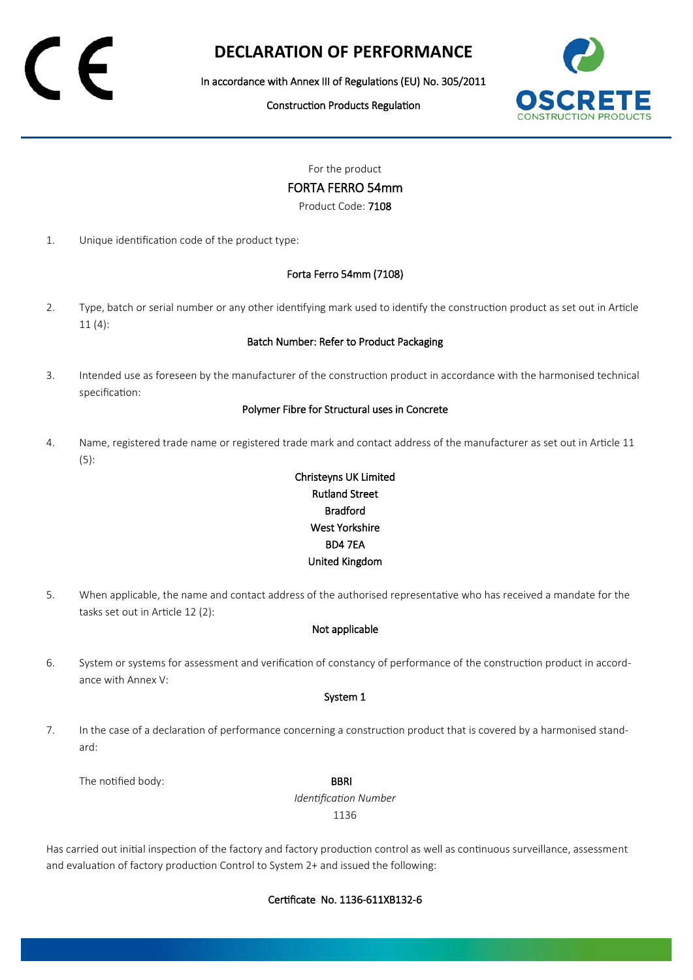# **DECLARATION OF PERFORMANCE**

In accordance with Annex III of Regulations (EU) No. 305/2011

Construction Products Regulation



For the product

FORTA FERRO 54mm

Product Code: 7108

1. Unique identification code of the product type:

## Forta Ferro 54mm (7108)

2. Type, batch or serial number or any other identifying mark used to identify the construction product as set out in Article 11 (4):

### Batch Number: Refer to Product Packaging

3. Intended use as foreseen by the manufacturer of the construction product in accordance with the harmonised technical specification:

#### Polymer Fibre for Structural uses in Concrete

4. Name, registered trade name or registered trade mark and contact address of the manufacturer as set out in Article 11 (5):

## Christeyns UK Limited Rutland Street Bradford West Yorkshire BD4 7EA United Kingdom

5. When applicable, the name and contact address of the authorised representative who has received a mandate for the tasks set out in Article 12 (2):

## Not applicable

6. System or systems for assessment and verification of constancy of performance of the construction product in accordance with Annex V:

#### System 1

7. In the case of a declaration of performance concerning a construction product that is covered by a harmonised standard:

The notified body: **BBRI** 

*Identification Number* 1136

Has carried out initial inspection of the factory and factory production control as well as continuous surveillance, assessment and evaluation of factory production Control to System 2+ and issued the following: